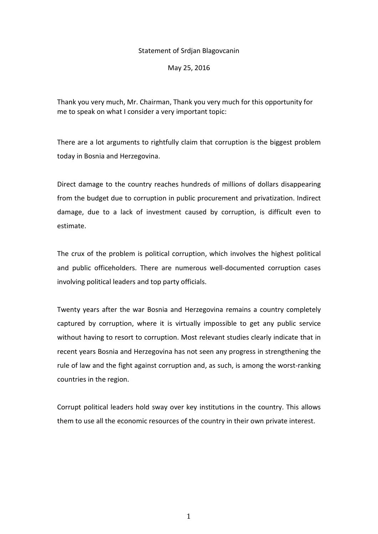## Statement of Srdjan Blagovcanin

May 25, 2016

Thank you very much, Mr. Chairman, Thank you very much for this opportunity for me to speak on what I consider a very important topic:

There are a lot arguments to rightfully claim that corruption is the biggest problem today in Bosnia and Herzegovina.

Direct damage to the country reaches hundreds of millions of dollars disappearing from the budget due to corruption in public procurement and privatization. Indirect damage, due to a lack of investment caused by corruption, is difficult even to estimate.

The crux of the problem is political corruption, which involves the highest political and public officeholders. There are numerous well-documented corruption cases involving political leaders and top party officials.

Twenty years after the war Bosnia and Herzegovina remains a country completely captured by corruption, where it is virtually impossible to get any public service without having to resort to corruption. Most relevant studies clearly indicate that in recent years Bosnia and Herzegovina has not seen any progress in strengthening the rule of law and the fight against corruption and, as such, is among the worst-ranking countries in the region.

Corrupt political leaders hold sway over key institutions in the country. This allows them to use all the economic resources of the country in their own private interest.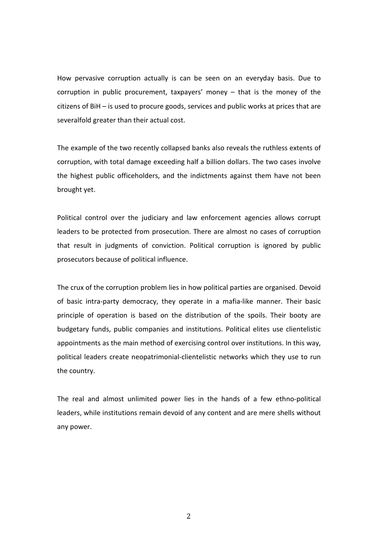How pervasive corruption actually is can be seen on an everyday basis. Due to corruption in public procurement, taxpayers' money – that is the money of the citizens of BiH – is used to procure goods, services and public works at prices that are severalfold greater than their actual cost.

The example of the two recently collapsed banks also reveals the ruthless extents of corruption, with total damage exceeding half a billion dollars. The two cases involve the highest public officeholders, and the indictments against them have not been brought yet.

Political control over the judiciary and law enforcement agencies allows corrupt leaders to be protected from prosecution. There are almost no cases of corruption that result in judgments of conviction. Political corruption is ignored by public prosecutors because of political influence.

The crux of the corruption problem lies in how political parties are organised. Devoid of basic intra-party democracy, they operate in a mafia-like manner. Their basic principle of operation is based on the distribution of the spoils. Their booty are budgetary funds, public companies and institutions. Political elites use clientelistic appointments as the main method of exercising control over institutions. In this way, political leaders create neopatrimonial-clientelistic networks which they use to run the country.

The real and almost unlimited power lies in the hands of a few ethno-political leaders, while institutions remain devoid of any content and are mere shells without any power.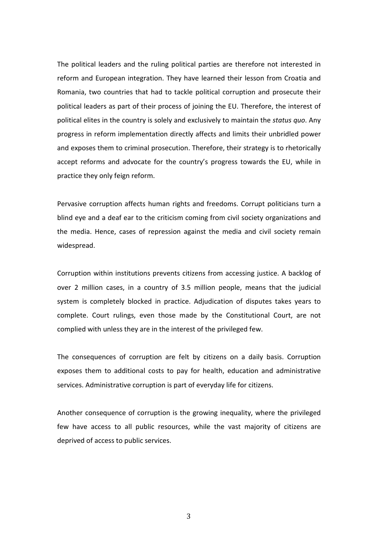The political leaders and the ruling political parties are therefore not interested in reform and European integration. They have learned their lesson from Croatia and Romania, two countries that had to tackle political corruption and prosecute their political leaders as part of their process of joining the EU. Therefore, the interest of political elites in the country is solely and exclusively to maintain the *status quo*. Any progress in reform implementation directly affects and limits their unbridled power and exposes them to criminal prosecution. Therefore, their strategy is to rhetorically accept reforms and advocate for the country's progress towards the EU, while in practice they only feign reform.

Pervasive corruption affects human rights and freedoms. Corrupt politicians turn a blind eye and a deaf ear to the criticism coming from civil society organizations and the media. Hence, cases of repression against the media and civil society remain widespread.

Corruption within institutions prevents citizens from accessing justice. A backlog of over 2 million cases, in a country of 3.5 million people, means that the judicial system is completely blocked in practice. Adjudication of disputes takes years to complete. Court rulings, even those made by the Constitutional Court, are not complied with unless they are in the interest of the privileged few.

The consequences of corruption are felt by citizens on a daily basis. Corruption exposes them to additional costs to pay for health, education and administrative services. Administrative corruption is part of everyday life for citizens.

Another consequence of corruption is the growing inequality, where the privileged few have access to all public resources, while the vast majority of citizens are deprived of access to public services.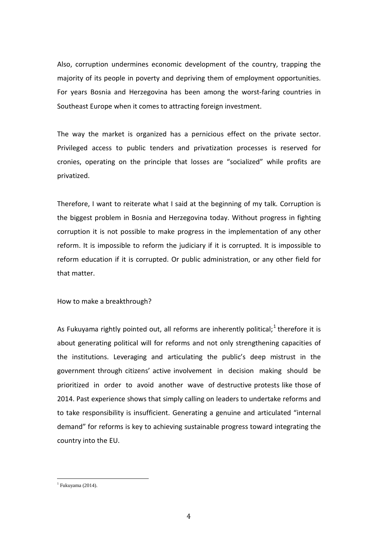Also, corruption undermines economic development of the country, trapping the majority of its people in poverty and depriving them of employment opportunities. For years Bosnia and Herzegovina has been among the worst-faring countries in Southeast Europe when it comes to attracting foreign investment.

The way the market is organized has a pernicious effect on the private sector. Privileged access to public tenders and privatization processes is reserved for cronies, operating on the principle that losses are "socialized" while profits are privatized.

Therefore, I want to reiterate what I said at the beginning of my talk. Corruption is the biggest problem in Bosnia and Herzegovina today. Without progress in fighting corruption it is not possible to make progress in the implementation of any other reform. It is impossible to reform the judiciary if it is corrupted. It is impossible to reform education if it is corrupted. Or public administration, or any other field for that matter.

How to make a breakthrough?

As Fukuyama rightly pointed out, all reforms are inherently political;<sup>[1](#page-3-0)</sup> therefore it is about generating political will for reforms and not only strengthening capacities of the institutions. Leveraging and articulating the public's deep mistrust in the government through citizens' active involvement in decision making should be prioritized in order to avoid another wave of destructive protests like those of 2014. Past experience shows that simply calling on leaders to undertake reforms and to take responsibility is insufficient. Generating a genuine and articulated "internal demand" for reforms is key to achieving sustainable progress toward integrating the country into the EU.

<span id="page-3-0"></span> $1$  Fukuyama (2014).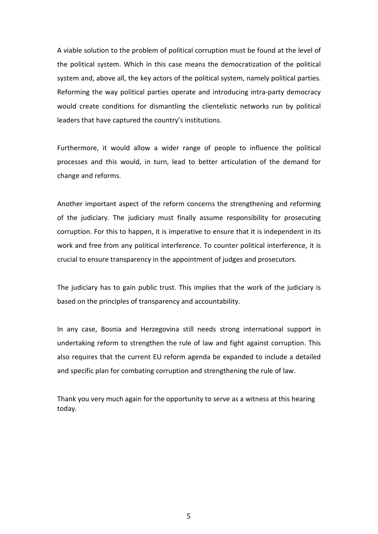A viable solution to the problem of political corruption must be found at the level of the political system. Which in this case means the democratization of the political system and, above all, the key actors of the political system, namely political parties. Reforming the way political parties operate and introducing intra-party democracy would create conditions for dismantling the clientelistic networks run by political leaders that have captured the country's institutions.

Furthermore, it would allow a wider range of people to influence the political processes and this would, in turn, lead to better articulation of the demand for change and reforms.

Another important aspect of the reform concerns the strengthening and reforming of the judiciary. The judiciary must finally assume responsibility for prosecuting corruption. For this to happen, it is imperative to ensure that it is independent in its work and free from any political interference. To counter political interference, it is crucial to ensure transparency in the appointment of judges and prosecutors.

The judiciary has to gain public trust. This implies that the work of the judiciary is based on the principles of transparency and accountability.

In any case, Bosnia and Herzegovina still needs strong international support in undertaking reform to strengthen the rule of law and fight against corruption. This also requires that the current EU reform agenda be expanded to include a detailed and specific plan for combating corruption and strengthening the rule of law.

Thank you very much again for the opportunity to serve as a witness at this hearing today.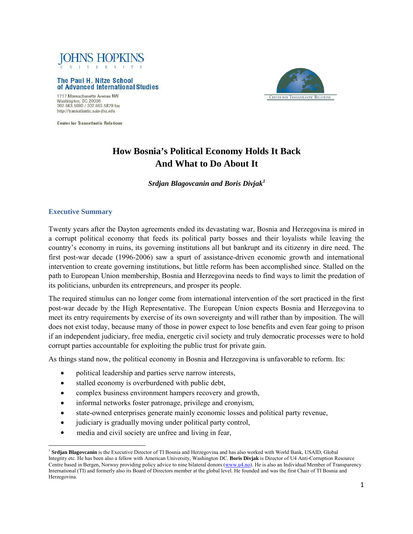

#### The Paul H. Nitze School of Advanced International Studies



1717 Massachusetts Avenue NW Washington, DC 20036<br>202.663.5880 / 202.663.5879 fax http://transatlantic.sais-jhu.edu

**Center for Transatlantic Relations** 

# **How Bosnia's Political Economy Holds It Back And What to Do About It**

*Srdjan Blagovcanin and Boris Divjak<sup>1</sup>*

## **Executive Summary**

Twenty years after the Dayton agreements ended its devastating war, Bosnia and Herzegovina is mired in a corrupt political economy that feeds its political party bosses and their loyalists while leaving the country's economy in ruins, its governing institutions all but bankrupt and its citizenry in dire need. The first post-war decade (1996-2006) saw a spurt of assistance-driven economic growth and international intervention to create governing institutions, but little reform has been accomplished since. Stalled on the path to European Union membership, Bosnia and Herzegovina needs to find ways to limit the predation of its politicians, unburden its entrepreneurs, and prosper its people.

The required stimulus can no longer come from international intervention of the sort practiced in the first post-war decade by the High Representative. The European Union expects Bosnia and Herzegovina to meet its entry requirements by exercise of its own sovereignty and will rather than by imposition. The will does not exist today, because many of those in power expect to lose benefits and even fear going to prison if an independent judiciary, free media, energetic civil society and truly democratic processes were to hold corrupt parties accountable for exploiting the public trust for private gain.

As things stand now, the political economy in Bosnia and Herzegovina is unfavorable to reform. Its:

- political leadership and parties serve narrow interests,
- stalled economy is overburdened with public debt,
- complex business environment hampers recovery and growth,
- informal networks foster patronage, privilege and cronyism,
- state-owned enterprises generate mainly economic losses and political party revenue,
- judiciary is gradually moving under political party control,
- media and civil society are unfree and living in fear,

<sup>1</sup> **Srdjan Blagovcanin** is the Executive Director of TI Bosnia and Herzegovina and has also worked with World Bank, USAID, Global Integrity etc. He has been also a fellow with American University, Washington DC. **Boris Divjak** is Director of U4 Anti-Corruption Resource Centre based in Bergen, Norway providing policy advice to nine bilateral donors (www.u4.no). He is also an Individual Member of Transparency International (TI) and formerly also its Board of Directors member at the global level. He founded and was the first Chair of TI Bosnia and Herzegovina.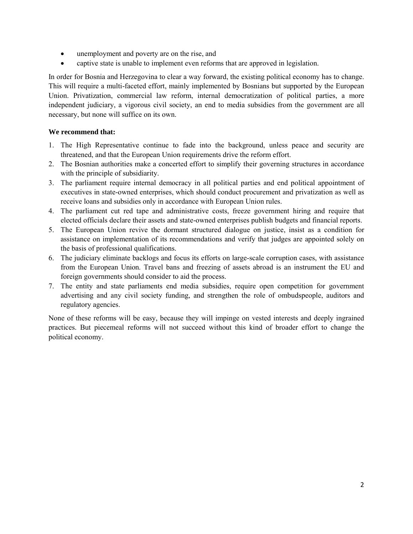- unemployment and poverty are on the rise, and
- captive state is unable to implement even reforms that are approved in legislation.

In order for Bosnia and Herzegovina to clear a way forward, the existing political economy has to change. This will require a multi-faceted effort, mainly implemented by Bosnians but supported by the European Union. Privatization, commercial law reform, internal democratization of political parties, a more independent judiciary, a vigorous civil society, an end to media subsidies from the government are all necessary, but none will suffice on its own.

## **We recommend that:**

- 1. The High Representative continue to fade into the background, unless peace and security are threatened, and that the European Union requirements drive the reform effort.
- 2. The Bosnian authorities make a concerted effort to simplify their governing structures in accordance with the principle of subsidiarity.
- 3. The parliament require internal democracy in all political parties and end political appointment of executives in state-owned enterprises, which should conduct procurement and privatization as well as receive loans and subsidies only in accordance with European Union rules.
- 4. The parliament cut red tape and administrative costs, freeze government hiring and require that elected officials declare their assets and state-owned enterprises publish budgets and financial reports.
- 5. The European Union revive the dormant structured dialogue on justice, insist as a condition for assistance on implementation of its recommendations and verify that judges are appointed solely on the basis of professional qualifications.
- 6. The judiciary eliminate backlogs and focus its efforts on large-scale corruption cases, with assistance from the European Union. Travel bans and freezing of assets abroad is an instrument the EU and foreign governments should consider to aid the process.
- 7. The entity and state parliaments end media subsidies, require open competition for government advertising and any civil society funding, and strengthen the role of ombudspeople, auditors and regulatory agencies.

None of these reforms will be easy, because they will impinge on vested interests and deeply ingrained practices. But piecemeal reforms will not succeed without this kind of broader effort to change the political economy.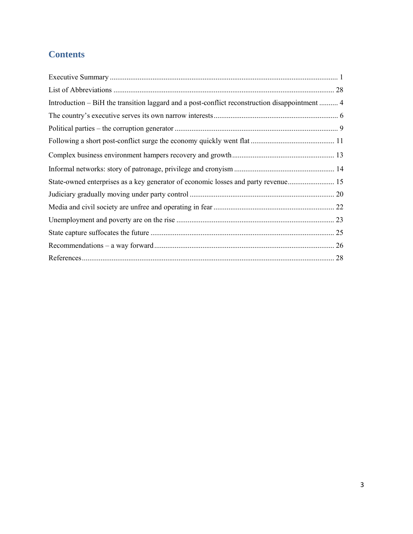# **Contents**

| Introduction – BiH the transition laggard and a post-conflict reconstruction disappointment  4 |  |
|------------------------------------------------------------------------------------------------|--|
|                                                                                                |  |
|                                                                                                |  |
|                                                                                                |  |
|                                                                                                |  |
|                                                                                                |  |
|                                                                                                |  |
|                                                                                                |  |
|                                                                                                |  |
|                                                                                                |  |
|                                                                                                |  |
|                                                                                                |  |
|                                                                                                |  |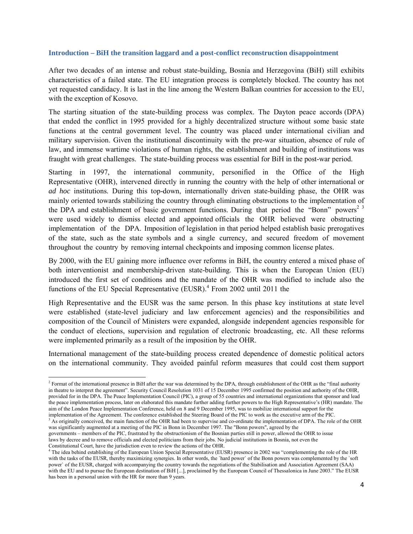#### **Introduction – BiH the transition laggard and a post-conflict reconstruction disappointment**

After two decades of an intense and robust state-building, Bosnia and Herzegovina (BiH) still exhibits characteristics of a failed state. The EU integration process is completely blocked. The country has not yet requested candidacy. It is last in the line among the Western Balkan countries for accession to the EU, with the exception of Kosovo.

The starting situation of the state-building process was complex. The Dayton peace accords (DPA) that ended the conflict in 1995 provided for a highly decentralized structure without some basic state functions at the central government level. The country was placed under international civilian and military supervision. Given the institutional discontinuity with the pre-war situation, absence of rule of law, and immense wartime violations of human rights, the establishment and building of institutions was fraught with great challenges. The state-building process was essential for BiH in the post-war period.

Starting in 1997, the international community, personified in the Office of the High Representative (OHR), intervened directly in running the country with the help of other international or *ad hoc* institutions. During this top-down, internationally driven state-building phase, the OHR was mainly oriented towards stabilizing the country through eliminating obstructions to the implementation of the DPA and establishment of basic government functions. During that period the "Bonn" powers<sup>2 $3$ </sup> were used widely to dismiss elected and appointed officials the OHR believed were obstructing implementation of the DPA. Imposition of legislation in that period helped establish basic prerogatives of the state, such as the state symbols and a single currency, and secured freedom of movement throughout the country by removing internal checkpoints and imposing common license plates.

By 2000, with the EU gaining more influence over reforms in BiH, the country entered a mixed phase of both interventionist and membership-driven state-building. This is when the European Union (EU) introduced the first set of conditions and the mandate of the OHR was modified to include also the functions of the EU Special Representative (EUSR).<sup>4</sup> From 2002 until 2011 the

High Representative and the EUSR was the same person. In this phase key institutions at state level were established (state-level judiciary and law enforcement agencies) and the responsibilities and composition of the Council of Ministers were expanded, alongside independent agencies responsible for the conduct of elections, supervision and regulation of electronic broadcasting, etc. All these reforms were implemented primarily as a result of the imposition by the OHR.

International management of the state-building process created dependence of domestic political actors on the international community. They avoided painful reform measures that could cost them support

<sup>&</sup>lt;sup>2</sup> Format of the international presence in BiH after the war was determined by the DPA, through establishment of the OHR as the "final authority" in theatre to interpret the agreement". Security Council Resolution 1031 of 15 December 1995 confirmed the position and authority of the OHR, provided for in the DPA. The Peace Implementation Council (PIC), a group of 55 countries and international organizations that sponsor and lead the peace implementation process, later on elaborated this mandate further adding further powers to the High Representative's (HR) mandate. The aim of the London Peace Implementation Conference, held on 8 and 9 December 1995, was to mobilize international support for the implementation of the Agreement. The conference established the Steering Board of the PIC to work as the executive arm of the PIC.

<sup>&</sup>lt;sup>3</sup> As originally conceived, the main function of the OHR had been to supervise and co-ordinate the implementation of DPA. The role of the OHR was significantly augmented at a meeting of the PIC in Bonn in December 1997. The "Bonn powers", agreed by the

governments – members of the PIC, frustrated by the obstructionism of the Bosnian parties still in power, allowed the OHR to issue laws by decree and to remove officials and elected politicians from their jobs. No judicial institutions in Bosnia, not even the

Constitutional Court, have the jurisdiction even to review the actions of the OHR.<br><sup>4</sup> The idea behind establishing of the European Union Special Representative (EUSR) presence in 2002 was "complementing the role of the HR with the tasks of the EUSR, thereby maximizing synergies. In other words, the `hard power` of the Bonn powers was complemented by the `soft power` of the EUSR, charged with accompanying the country towards the negotiations of the Stabilisation and Association Agreement (SAA) with the EU and to pursue the European destination of BiH [...], proclaimed by the European Council of Thessalonica in June 2003." The EUSR has been in a personal union with the HR for more than 9 years.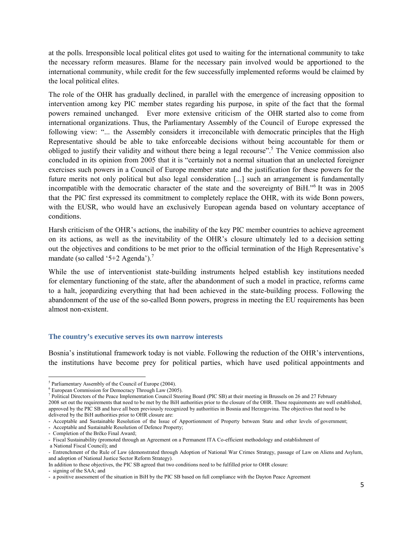at the polls. Irresponsible local political elites got used to waiting for the international community to take the necessary reform measures. Blame for the necessary pain involved would be apportioned to the international community, while credit for the few successfully implemented reforms would be claimed by the local political elites.

The role of the OHR has gradually declined, in parallel with the emergence of increasing opposition to intervention among key PIC member states regarding his purpose, in spite of the fact that the formal powers remained unchanged. Ever more extensive criticism of the OHR started also to come from international organizations. Thus, the Parliamentary Assembly of the Council of Europe expressed the following view: "... the Assembly considers it irreconcilable with democratic principles that the High Representative should be able to take enforceable decisions without being accountable for them or obliged to justify their validity and without there being a legal recourse".5 The Venice commission also concluded in its opinion from 2005 that it is "certainly not a normal situation that an unelected foreigner exercises such powers in a Council of Europe member state and the justification for these powers for the future merits not only political but also legal consideration [...] such an arrangement is fundamentally incompatible with the democratic character of the state and the sovereignty of BiH."<sup>6</sup> It was in 2005 that the PIC first expressed its commitment to completely replace the OHR, with its wide Bonn powers, with the EUSR, who would have an exclusively European agenda based on voluntary acceptance of conditions.

Harsh criticism of the OHR's actions, the inability of the key PIC member countries to achieve agreement on its actions, as well as the inevitability of the OHR's closure ultimately led to a decision setting out the objectives and conditions to be met prior to the official termination of the High Representative's mandate (so called '5+2 Agenda').<sup>7</sup>

While the use of interventionist state-building instruments helped establish key institutions needed for elementary functioning of the state, after the abandonment of such a model in practice, reforms came to a halt, jeopardizing everything that had been achieved in the state-building process. Following the abandonment of the use of the so-called Bonn powers, progress in meeting the EU requirements has been almost non-existent.

#### **The country's executive serves its own narrow interests**

Bosnia's institutional framework today is not viable. Following the reduction of the OHR's interventions, the institutions have become prey for political parties, which have used political appointments and

 $<sup>5</sup>$  Parliamentary Assembly of the Council of Europe (2004).</sup>

<sup>6</sup> European Commission for Democracy Through Law (2005).

<sup>&</sup>lt;sup>7</sup> Political Directors of the Peace Implementation Council Steering Board (PIC SB) at their meeting in Brussels on 26 and 27 February 2008 set out the requirements that need to be met by the BiH authorities prior to the closure of the OHR. These requirements are well established,

approved by the PIC SB and have all been previously recognized by authorities in Bosnia and Herzegovina. The objectives that need to be delivered by the BiH authorities prior to OHR closure are:

 <sup>-</sup> Acceptable and Sustainable Resolution of the Issue of Apportionment of Property between State and other levels of government;

<sup>-</sup> Acceptable and Sustainable Resolution of Defence Property;

<sup>-</sup> Completion of the Brčko Final Award;

<sup>-</sup> Fiscal Sustainability (promoted through an Agreement on a Permanent ITA Co-efficient methodology and establishment of

a National Fiscal Council); and

<sup>-</sup> Entrenchment of the Rule of Law (demonstrated through Adoption of National War Crimes Strategy, passage of Law on Aliens and Asylum, and adoption of National Justice Sector Reform Strategy).

In addition to these objectives, the PIC SB agreed that two conditions need to be fulfilled prior to OHR closure:

<sup>-</sup> signing of the SAA; and

<sup>-</sup> a positive assessment of the situation in BiH by the PIC SB based on full compliance with the Dayton Peace Agreement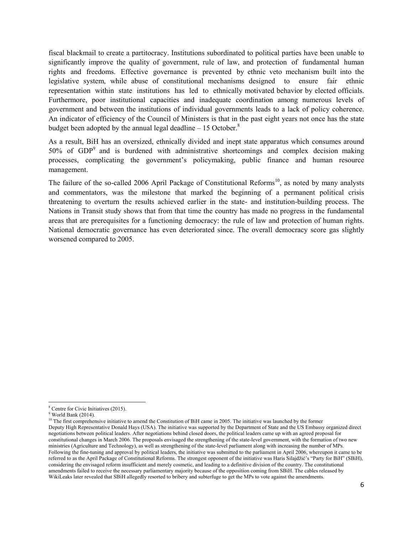fiscal blackmail to create a partitocracy. Institutions subordinated to political parties have been unable to significantly improve the quality of government, rule of law, and protection of fundamental human rights and freedoms. Effective governance is prevented by ethnic veto mechanism built into the legislative system, while abuse of constitutional mechanisms designed to ensure fair ethnic representation within state institutions has led to ethnically motivated behavior by elected officials. Furthermore, poor institutional capacities and inadequate coordination among numerous levels of government and between the institutions of individual governments leads to a lack of policy coherence. An indicator of efficiency of the Council of Ministers is that in the past eight years not once has the state budget been adopted by the annual legal deadline  $-15$  October.<sup>8</sup>

As a result, BiH has an oversized, ethnically divided and inept state apparatus which consumes around 50% of GDP<sup>9</sup> and is burdened with administrative shortcomings and complex decision making processes, complicating the government's policymaking, public finance and human resource management.

The failure of the so-called 2006 April Package of Constitutional Reforms<sup>10</sup>, as noted by many analysts and commentators, was the milestone that marked the beginning of a permanent political crisis threatening to overturn the results achieved earlier in the state- and institution-building process. The Nations in Transit study shows that from that time the country has made no progress in the fundamental areas that are prerequisites for a functioning democracy: the rule of law and protection of human rights. National democratic governance has even deteriorated since. The overall democracy score gas slightly worsened compared to 2005.

<sup>8</sup> Centre for Civic Initiatives (2015).

<sup>9</sup> World Bank (2014).

 $10$  The first comprehensive initiative to amend the Constitution of BiH came in 2005. The initiative was launched by the former Deputy High Representative Donald Hays (USA). The initiative was supported by the Department of State and the US Embassy organized direct negotiations between political leaders. After negotiations behind closed doors, the political leaders came up with an agreed proposal for constitutional changes in March 2006. The proposals envisaged the strengthening of the state-level government, with the formation of two new ministries (Agriculture and Technology), as well as strengthening of the state-level parliament along with increasing the number of MPs. Following the fine-tuning and approval by political leaders, the initiative was submitted to the parliament in April 2006, whereupon it came to be referred to as the April Package of Constitutional Reforms. The strongest opponent of the initiative was Haris Silajdžić's "Party for BiH" (SBiH), considering the envisaged reform insufficient and merely cosmetic, and leading to a definitive division of the country. The constitutional amendments failed to receive the necessary parliamentary majority because of the opposition coming from SBiH. The cables released by WikiLeaks later revealed that SBiH allegedly resorted to bribery and subterfuge to get the MPs to vote against the amendments.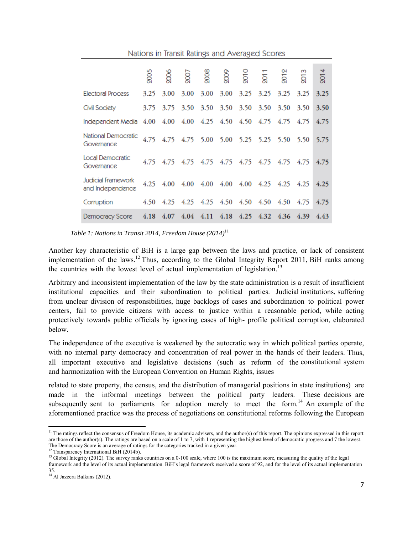|                                                      | Nations in Transit Ratings and Averaged Scores |      |      |                |                                              |           |      |      |          |      |
|------------------------------------------------------|------------------------------------------------|------|------|----------------|----------------------------------------------|-----------|------|------|----------|------|
|                                                      | 2005                                           |      | 2007 |                | 008<br>009                                   |           |      | 2012 | <u>୍</u> | 2014 |
| <b>Electoral Process</b>                             | 3.25                                           | 3.00 | 3.00 | 3.00           | 3.00                                         | 3.25      | 3.25 | 3.25 | 3.25     | 3.25 |
| Civil Society                                        | 3.75                                           | 3.75 | 3.50 | 3.50           |                                              | 3.50 3.50 | 3.50 | 3.50 | 3.50     | 3.50 |
| Independent Media 4.00 4.00 4.00 4.25 4.50 4.50 4.75 |                                                |      |      |                |                                              |           |      | 4.75 | 4.75     | 4.75 |
| National Democratic<br>Governance                    |                                                |      |      |                | 4.75 4.75 4.75 5.00 5.00 5.25 5.25 5.50 5.50 |           |      |      |          | 5.75 |
| Local Democratic<br>Governance                       | 4.75                                           |      |      | 4.75 4.75 4.75 |                                              | 4.75 4.75 | 4.75 | 4.75 | 4.75     | 4.75 |
| Judicial Framework<br>and Independence               | 4.25                                           |      |      |                | 4.00 4.00 4.00 4.00 4.00 4.25 4.25           |           |      |      | 4.25     | 4.25 |
| Corruption                                           |                                                |      |      |                | 4.50 4.25 4.25 4.25 4.50 4.50 4.50 4.50 4.75 |           |      |      |          | 4.75 |
| Democracy Score                                      | 4.18                                           |      |      |                | 4.07 4.04 4.11 4.18 4.25 4.32 4.36 4.39      |           |      |      |          | 4.43 |

 *Table 1: Nations in Transit 2014, Freedom House (2014)*<sup>11</sup>

Another key characteristic of BiH is a large gap between the laws and practice, or lack of consistent implementation of the laws.<sup>12</sup> Thus, according to the Global Integrity Report 2011, BiH ranks among the countries with the lowest level of actual implementation of legislation.<sup>13</sup>

Arbitrary and inconsistent implementation of the law by the state administration is a result of insufficient institutional capacities and their subordination to political parties. Judicial institutions, suffering from unclear division of responsibilities, huge backlogs of cases and subordination to political power centers, fail to provide citizens with access to justice within a reasonable period, while acting protectively towards public officials by ignoring cases of high- profile political corruption, elaborated below.

The independence of the executive is weakened by the autocratic way in which political parties operate, with no internal party democracy and concentration of real power in the hands of their leaders. Thus, all important executive and legislative decisions (such as reform of the constitutional system and harmonization with the European Convention on Human Rights, issues

related to state property, the census, and the distribution of managerial positions in state institutions) are made in the informal meetings between the political party leaders. These decisions are subsequently sent to parliaments for adoption merely to meet the form.<sup>14</sup> An example of the aforementioned practice was the process of negotiations on constitutional reforms following the European

  $<sup>11</sup>$  The ratings reflect the consensus of Freedom House, its academic advisers, and the author(s) of this report. The opinions expressed in this report</sup> are those of the author(s). The ratings are based on a scale of 1 to 7, with 1 representing the highest level of democratic progress and 7 the lowest. The Democracy Score is an average of ratings for the categories tracked in a given year.

 $12$  Transparency International BiH (2014b).

<sup>&</sup>lt;sup>13</sup> Global Integrity (2012). The survey ranks countries on a 0-100 scale, where 100 is the maximum score, measuring the quality of the legal framework and the level of its actual implementation. BiH's legal framework received a score of 92, and for the level of its actual implementation 35.

<sup>&</sup>lt;sup>14</sup> Al Jazeera Balkans (2012).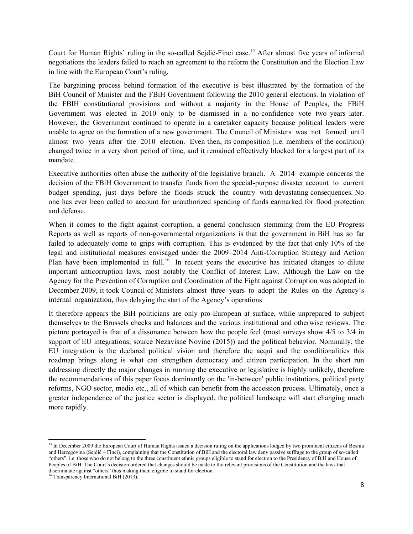Court for Human Rights' ruling in the so-called Sejdić-Finci case.<sup>15</sup> After almost five years of informal negotiations the leaders failed to reach an agreement to the reform the Constitution and the Election Law in line with the European Court's ruling.

The bargaining process behind formation of the executive is best illustrated by the formation of the BiH Council of Minister and the FBiH Government following the 2010 general elections. In violation of the FBIH constitutional provisions and without a majority in the House of Peoples, the FBiH Government was elected in 2010 only to be dismissed in a no-confidence vote two years later. However, the Government continued to operate in a caretaker capacity because political leaders were unable to agree on the formation of a new government. The Council of Ministers was not formed until almost two years after the 2010 election. Even then, its composition (i.e. members of the coalition) changed twice in a very short period of time, and it remained effectively blocked for a largest part of its mandate.

Executive authorities often abuse the authority of the legislative branch. A 2014 example concerns the decision of the FBiH Government to transfer funds from the special-purpose disaster account to current budget spending, just days before the floods struck the country with devastating consequences. No one has ever been called to account for unauthorized spending of funds earmarked for flood protection and defense.

When it comes to the fight against corruption, a general conclusion stemming from the EU Progress Reports as well as reports of non-governmental organizations is that the government in BiH has so far failed to adequately come to grips with corruption. This is evidenced by the fact that only 10% of the legal and institutional measures envisaged under the 2009–2014 Anti-Corruption Strategy and Action Plan have been implemented in full.<sup>16</sup> In recent years the executive has initiated changes to dilute important anticorruption laws, most notably the Conflict of Interest Law. Although the Law on the Agency for the Prevention of Corruption and Coordination of the Fight against Corruption was adopted in December 2009, it took Council of Ministers almost three years to adopt the Rules on the Agency's internal organization, thus delaying the start of the Agency's operations.

It therefore appears the BiH politicians are only pro-European at surface, while unprepared to subject themselves to the Brussels checks and balances and the various institutional and otherwise reviews. The picture portrayed is that of a dissonance between how the people feel (most surveys show 4/5 to 3/4 in support of EU integrations; source Nezavisne Novine (2015)) and the political behavior. Nominally, the EU integration is the declared political vision and therefore the acqui and the conditionalities this roadmap brings along is what can strengthen democracy and citizen participation. In the short run addressing directly the major changes in running the executive or legislative is highly unlikely, therefore the recommendations of this paper focus dominantly on the 'in-between' public institutions, political party reforms, NGO sector, media etc., all of which can benefit from the accession process. Ultimately, once a greater independence of the justice sector is displayed, the political landscape will start changing much more rapidly.

<sup>&</sup>lt;sup>15</sup> In December 2009 the European Court of Human Rights issued a decision ruling on the applications lodged by two prominent citizens of Bosnia and Herzegovina (Sejdić – Finci), complaining that the Constitution of BiH and the electoral law deny passive suffrage to the group of so-called "others", i.e. those who do not belong to the three constituent ethnic groups eligible to stand for election to the Presidency of BiH and House of Peoples of BiH. The Court's decision ordered that changes should be made to the relevant provisions of the Constitution and the laws that discriminate against "others" thus making them eligible to stand for election.

<sup>&</sup>lt;sup>16</sup> Transparency International BiH (2013).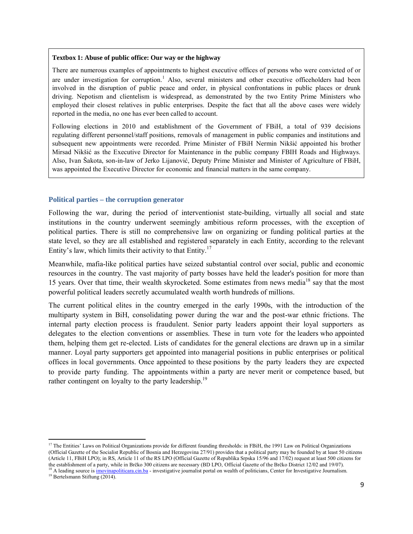#### **Textbox 1: Abuse of public office: Our way or the highway**

There are numerous examples of appointments to highest executive offices of persons who were convicted of or are under investigation for corruption.<sup>1</sup> Also, several ministers and other executive officeholders had been involved in the disruption of public peace and order, in physical confrontations in public places or drunk driving. Nepotism and clientelism is widespread, as demonstrated by the two Entity Prime Ministers who employed their closest relatives in public enterprises. Despite the fact that all the above cases were widely reported in the media, no one has ever been called to account.

Following elections in 2010 and establishment of the Government of FBiH, a total of 939 decisions regulating different personnel/staff positions, removals of management in public companies and institutions and subsequent new appointments were recorded. Prime Minister of FBiH Nermin Nikšić appointed his brother Mirsad Nikšić as the Executive Director for Maintenance in the public company FBIH Roads and Highways. Also, Ivan Šakota, son-in-law of Jerko Lijanović, Deputy Prime Minister and Minister of Agriculture of FBiH, was appointed the Executive Director for economic and financial matters in the same company.

#### **Political parties – the corruption generator**

Following the war, during the period of interventionist state-building, virtually all social and state institutions in the country underwent seemingly ambitious reform processes, with the exception of political parties. There is still no comprehensive law on organizing or funding political parties at the state level, so they are all established and registered separately in each Entity, according to the relevant Entity's law, which limits their activity to that Entity.<sup>17</sup>

Meanwhile, mafia-like political parties have seized substantial control over social, public and economic resources in the country. The vast majority of party bosses have held the leader's position for more than 15 years. Over that time, their wealth skyrocketed. Some estimates from news media<sup>18</sup> say that the most powerful political leaders secretly accumulated wealth worth hundreds of millions.

The current political elites in the country emerged in the early 1990s, with the introduction of the multiparty system in BiH, consolidating power during the war and the post-war ethnic frictions. The internal party election process is fraudulent. Senior party leaders appoint their loyal supporters as delegates to the election conventions or assemblies. These in turn vote for the leaders who appointed them, helping them get re-elected. Lists of candidates for the general elections are drawn up in a similar manner. Loyal party supporters get appointed into managerial positions in public enterprises or political offices in local governments. Once appointed to these positions by the party leaders they are expected to provide party funding. The appointments within a party are never merit or competence based, but rather contingent on loyalty to the party leadership.<sup>19</sup>

<sup>&</sup>lt;sup>17</sup> The Entities' Laws on Political Organizations provide for different founding thresholds: in FBiH, the 1991 Law on Political Organizations (Official Gazette of the Socialist Republic of Bosnia and Herzegovina 27/91) provides that a political party may be founded by at least 50 citizens (Article 11, FBiH LPO); in RS, Article 11 of the RS LPO (Official Gazette of Republika Srpska 15/96 and 17/02) request at least 500 citizens for the establishment of a party, while in Brčko 300 citizens are necessary (BD L

<sup>&</sup>lt;sup>18</sup> A leading source is *inovinapoliticara.cin.ba* - investigative journalist portal on wealth of politicians, Center for Investigative Journalism.<br><sup>19</sup> Bertelsmann Stiftung (2014).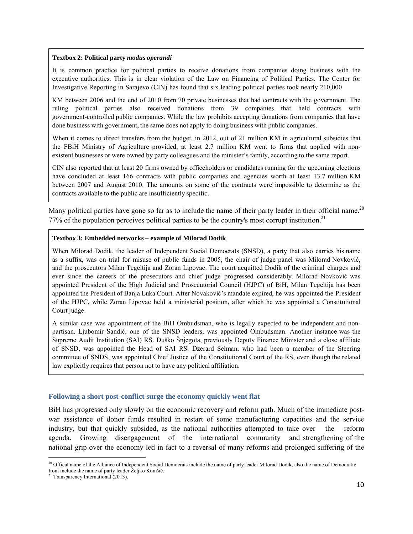#### **Textbox 2: Political party** *modus operandi*

It is common practice for political parties to receive donations from companies doing business with the executive authorities. This is in clear violation of the Law on Financing of Political Parties. The Center for Investigative Reporting in Sarajevo (CIN) has found that six leading political parties took nearly 210,000

KM between 2006 and the end of 2010 from 70 private businesses that had contracts with the government. The ruling political parties also received donations from 39 companies that held contracts with government-controlled public companies. While the law prohibits accepting donations from companies that have done business with government, the same does not apply to doing business with public companies.

When it comes to direct transfers from the budget, in 2012, out of 21 million KM in agricultural subsidies that the FBiH Ministry of Agriculture provided, at least 2.7 million KM went to firms that applied with nonexistent businesses or were owned by party colleagues and the minister's family, according to the same report.

CIN also reported that at least 20 firms owned by officeholders or candidates running for the upcoming elections have concluded at least 166 contracts with public companies and agencies worth at least 13.7 million KM between 2007 and August 2010. The amounts on some of the contracts were impossible to determine as the contracts available to the public are insufficiently specific.

Many political parties have gone so far as to include the name of their party leader in their official name.<sup>20</sup> 77% of the population perceives political parties to be the country's most corrupt institution.<sup>21</sup>

#### **Textbox 3: Embedded networks – example of Milorad Dodik**

When Milorad Dodik, the leader of Independent Social Democrats (SNSD), a party that also carries his name as a suffix, was on trial for misuse of public funds in 2005, the chair of judge panel was Milorad Novković, and the prosecutors Milan Tegeltija and Zoran Lipovac. The court acquitted Dodik of the criminal charges and ever since the careers of the prosecutors and chief judge progressed considerably. Milorad Novković was appointed President of the High Judicial and Prosecutorial Council (HJPC) of BiH, Milan Tegeltija has been appointed the President of Banja Luka Court. After Novaković's mandate expired, he was appointed the President of the HJPC, while Zoran Lipovac held a ministerial position, after which he was appointed a Constitutional Court judge.

A similar case was appointment of the BiH Ombudsman, who is legally expected to be independent and nonpartisan. Ljubomir Sandić, one of the SNSD leaders, was appointed Ombudsman. Another instance was the Supreme Audit Institution (SAI) RS. Duško Šnjegota, previously Deputy Finance Minister and a close affiliate of SNSD, was appointed the Head of SAI RS. Džerard Selman, who had been a member of the Steering committee of SNDS, was appointed Chief Justice of the Constitutional Court of the RS, even though the related law explicitly requires that person not to have any political affiliation.

#### **Following a short post-conflict surge the economy quickly went flat**

BiH has progressed only slowly on the economic recovery and reform path. Much of the immediate postwar assistance of donor funds resulted in restart of some manufacturing capacities and the service industry, but that quickly subsided, as the national authorities attempted to take over the reform agenda. Growing disengagement of the international community and strengthening of the national grip over the economy led in fact to a reversal of many reforms and prolonged suffering of the

 <sup>20</sup> Offical name of the Alliance of Independent Social Democrats include the name of party leader Milorad Dodik, also the name of Democratic front include the name of party leader Željko Komšić. 21 Transparency International (2013).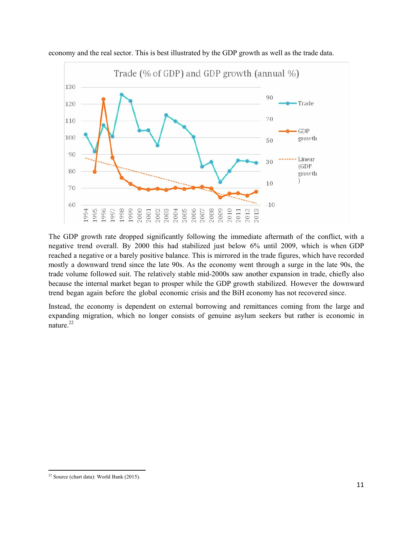

economy and the real sector. This is best illustrated by the GDP growth as well as the trade data.

The GDP growth rate dropped significantly following the immediate aftermath of the conflict, with a negative trend overall. By 2000 this had stabilized just below 6% until 2009, which is when GDP reached a negative or a barely positive balance. This is mirrored in the trade figures, which have recorded mostly a downward trend since the late 90s. As the economy went through a surge in the late 90s, the trade volume followed suit. The relatively stable mid-2000s saw another expansion in trade, chiefly also because the internal market began to prosper while the GDP growth stabilized. However the downward trend began again before the global economic crisis and the BiH economy has not recovered since.

Instead, the economy is dependent on external borrowing and remittances coming from the large and expanding migration, which no longer consists of genuine asylum seekers but rather is economic in nature.<sup>22</sup>

  $22$  Source (chart data): World Bank (2015).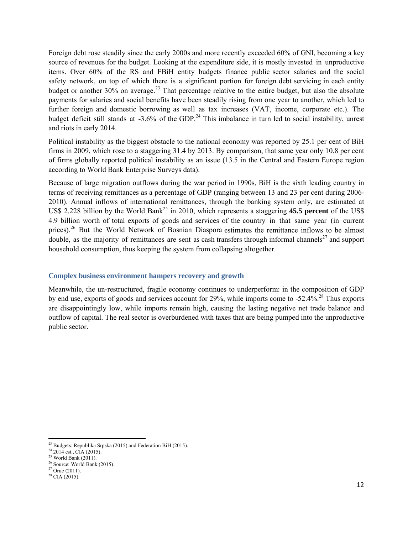Foreign debt rose steadily since the early 2000s and more recently exceeded 60% of GNI, becoming a key source of revenues for the budget. Looking at the expenditure side, it is mostly invested in unproductive items. Over 60% of the RS and FBiH entity budgets finance public sector salaries and the social safety network, on top of which there is a significant portion for foreign debt servicing in each entity budget or another  $30\%$  on average.<sup>23</sup> That percentage relative to the entire budget, but also the absolute payments for salaries and social benefits have been steadily rising from one year to another, which led to further foreign and domestic borrowing as well as tax increases (VAT, income, corporate etc.). The budget deficit still stands at  $-3.6\%$  of the GDP.<sup>24</sup> This imbalance in turn led to social instability, unrest and riots in early 2014.

Political instability as the biggest obstacle to the national economy was reported by 25.1 per cent of BiH firms in 2009, which rose to a staggering 31.4 by 2013. By comparison, that same year only 10.8 per cent of firms globally reported political instability as an issue (13.5 in the Central and Eastern Europe region according to World Bank Enterprise Surveys data).

Because of large migration outflows during the war period in 1990s, BiH is the sixth leading country in terms of receiving remittances as a percentage of GDP (ranging between 13 and 23 per cent during 2006- 2010). Annual inflows of international remittances, through the banking system only, are estimated at US\$ 2.228 billion by the World Bank<sup>25</sup> in 2010, which represents a staggering **45.5 percent** of the US\$ 4.9 billion worth of total exports of goods and services of the country in that same year (in current prices).<sup>26</sup> But the World Network of Bosnian Diaspora estimates the remittance inflows to be almost double, as the majority of remittances are sent as cash transfers through informal channels<sup>27</sup> and support household consumption, thus keeping the system from collapsing altogether.

## **Complex business environment hampers recovery and growth**

Meanwhile, the un-restructured, fragile economy continues to underperform: in the composition of GDP by end use, exports of goods and services account for 29%, while imports come to -52.4%.<sup>28</sup> Thus exports are disappointingly low, while imports remain high, causing the lasting negative net trade balance and outflow of capital. The real sector is overburdened with taxes that are being pumped into the unproductive public sector.

  $^{23}$  Budgets: Republika Srpska (2015) and Federation BiH (2015).

 $24\overline{2014}$  est., CIA (2015).

 $25$  World Bank (2011).

<sup>&</sup>lt;sup>26</sup> Source: World Bank (2015).

 $27$  Oruc (2011).

 $28$  CIA (2015).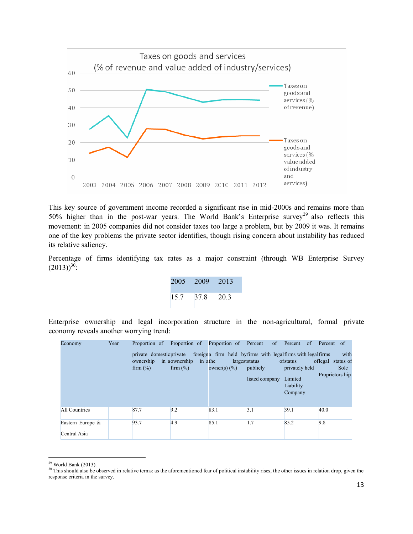

This key source of government income recorded a significant rise in mid-2000s and remains more than 50% higher than in the post-war years. The World Bank's Enterprise survey<sup>29</sup> also reflects this movement: in 2005 companies did not consider taxes too large a problem, but by 2009 it was. It remains one of the key problems the private sector identifies, though rising concern about instability has reduced its relative saliency.

Percentage of firms identifying tax rates as a major constraint (through WB Enterprise Survey  $(2013)^{30}$ :

| 2005 2009 |      | $-2013$ |
|-----------|------|---------|
| 15.7      | 37.8 | 20.3    |

Enterprise ownership and legal incorporation structure in the non-agricultural, formal private economy reveals another worrying trend:

| Economy                          | Year |                                                      | Proportion of Proportion of Proportion of Percent of Percent of Percent of |                                                                                  |                                              |                                                               |                                                       |
|----------------------------------|------|------------------------------------------------------|----------------------------------------------------------------------------|----------------------------------------------------------------------------------|----------------------------------------------|---------------------------------------------------------------|-------------------------------------------------------|
|                                  |      | private domestic private<br>ownership<br>firm $(\%)$ | in aownership<br>in athe<br>firm $(\%)$                                    | foreigna firm held by firms with legal firms with legal firms<br>owner(s) $(\%)$ | largest status<br>publicly<br>listed company | ofstatus<br>privately held<br>Limited<br>Liability<br>Company | with<br>of legal status of<br>Sole<br>Proprietors hip |
| All Countries                    |      | 87.7                                                 | 9.2                                                                        | 83.1                                                                             | 3.1                                          | 39.1                                                          | 40.0                                                  |
| Eastern Europe &<br>Central Asia |      | 93.7                                                 | 4.9                                                                        | 85.1                                                                             | 1.7                                          | 85.2                                                          | 9.8                                                   |

 $29$  World Bank (2013).

<sup>&</sup>lt;sup>30</sup> This should also be observed in relative terms: as the aforementioned fear of political instability rises, the other issues in relation drop, given the response criteria in the survey.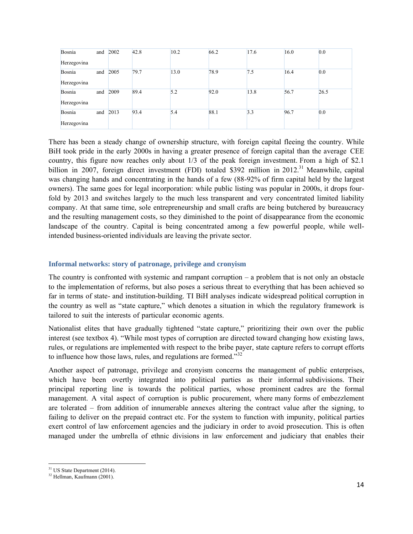| Bosnia      |     | and $2002$ | 42.8 | 10.2 | 66.2 | 17.6 | 16.0 | 0.0  |
|-------------|-----|------------|------|------|------|------|------|------|
| Herzegovina |     |            |      |      |      |      |      |      |
| Bosnia      | and | 2005       | 79.7 | 13.0 | 78.9 | 7.5  | 16.4 | 0.0  |
| Herzegovina |     |            |      |      |      |      |      |      |
| Bosnia      | and | 2009       | 89.4 | 5.2  | 92.0 | 13.8 | 56.7 | 26.5 |
| Herzegovina |     |            |      |      |      |      |      |      |
| Bosnia      | and | 2013       | 93.4 | 5.4  | 88.1 | 3.3  | 96.7 | 0.0  |
| Herzegovina |     |            |      |      |      |      |      |      |

There has been a steady change of ownership structure, with foreign capital fleeing the country. While BiH took pride in the early 2000s in having a greater presence of foreign capital than the average CEE country, this figure now reaches only about 1/3 of the peak foreign investment. From a high of \$2.1 billion in 2007, foreign direct investment (FDI) totaled \$392 million in 2012.<sup>31</sup> Meanwhile, capital was changing hands and concentrating in the hands of a few (88-92% of firm capital held by the largest owners). The same goes for legal incorporation: while public listing was popular in 2000s, it drops fourfold by 2013 and switches largely to the much less transparent and very concentrated limited liability company. At that same time, sole entrepreneurship and small crafts are being butchered by bureaucracy and the resulting management costs, so they diminished to the point of disappearance from the economic landscape of the country. Capital is being concentrated among a few powerful people, while wellintended business-oriented individuals are leaving the private sector.

## **Informal networks: story of patronage, privilege and cronyism**

The country is confronted with systemic and rampant corruption – a problem that is not only an obstacle to the implementation of reforms, but also poses a serious threat to everything that has been achieved so far in terms of state- and institution-building. TI BiH analyses indicate widespread political corruption in the country as well as "state capture," which denotes a situation in which the regulatory framework is tailored to suit the interests of particular economic agents.

Nationalist elites that have gradually tightened "state capture," prioritizing their own over the public interest (see textbox 4). "While most types of corruption are directed toward changing how existing laws, rules, or regulations are implemented with respect to the bribe payer, state capture refers to corrupt efforts to influence how those laws, rules, and regulations are formed."<sup>32</sup>

Another aspect of patronage, privilege and cronyism concerns the management of public enterprises, which have been overtly integrated into political parties as their informal subdivisions. Their principal reporting line is towards the political parties, whose prominent cadres are the formal management. A vital aspect of corruption is public procurement, where many forms of embezzlement are tolerated – from addition of innumerable annexes altering the contract value after the signing, to failing to deliver on the prepaid contract etc. For the system to function with impunity, political parties exert control of law enforcement agencies and the judiciary in order to avoid prosecution. This is often managed under the umbrella of ethnic divisions in law enforcement and judiciary that enables their

 <sup>31</sup> US State Department (2014).

<sup>&</sup>lt;sup>32</sup> Hellman, Kaufmann (2001).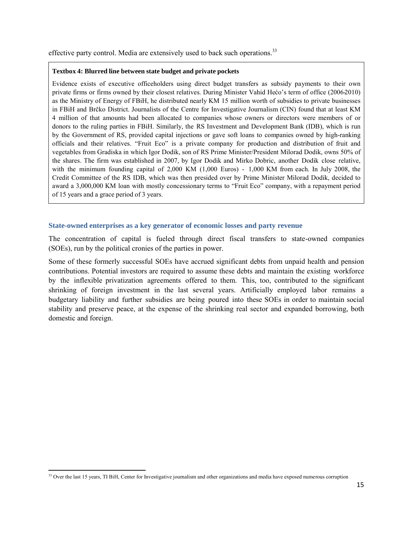effective party control. Media are extensively used to back such operations.<sup>33</sup>

#### **Textbox 4: Blurred line between state budget and private pockets**

Evidence exists of executive officeholders using direct budget transfers as subsidy payments to their own private firms or firms owned by their closest relatives. During Minister Vahid Hećo's term of office (2006-2010) as the Ministry of Energy of FBiH, he distributed nearly KM 15 million worth of subsidies to private businesses in FBiH and Brčko District. Journalists of the Centre for Investigative Journalism (CIN) found that at least KM 4 million of that amounts had been allocated to companies whose owners or directors were members of or donors to the ruling parties in FBiH. Similarly, the RS Investment and Development Bank (IDB), which is run by the Government of RS, provided capital injections or gave soft loans to companies owned by high-ranking officials and their relatives. "Fruit Eco" is a private company for production and distribution of fruit and vegetables from Gradiska in which Igor Dodik, son of RS Prime Minister/President Milorad Dodik, owns 50% of the shares. The firm was established in 2007, by Igor Dodik and Mirko Dobric, another Dodik close relative, with the minimum founding capital of 2,000 KM (1,000 Euros) - 1,000 KM from each. In July 2008, the Credit Committee of the RS IDB, which was then presided over by Prime Minister Milorad Dodik, decided to award a 3,000,000 KM loan with mostly concessionary terms to "Fruit Eco" company, with a repayment period of 15 years and a grace period of 3 years.

### **State-owned enterprises as a key generator of economic losses and party revenue**

The concentration of capital is fueled through direct fiscal transfers to state-owned companies (SOEs), run by the political cronies of the parties in power.

Some of these formerly successful SOEs have accrued significant debts from unpaid health and pension contributions. Potential investors are required to assume these debts and maintain the existing workforce by the inflexible privatization agreements offered to them. This, too, contributed to the significant shrinking of foreign investment in the last several years. Artificially employed labor remains a budgetary liability and further subsidies are being poured into these SOEs in order to maintain social stability and preserve peace, at the expense of the shrinking real sector and expanded borrowing, both domestic and foreign.

<sup>&</sup>lt;sup>33</sup> Over the last 15 years, TI BiH, Center for Investigative journalism and other organizations and media have exposed numerous corruption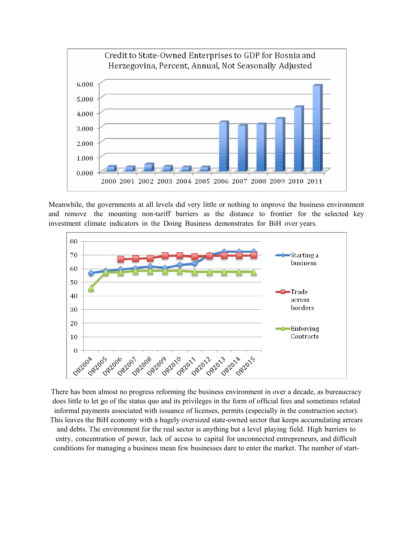

Meanwhile, the governments at all levels did very little or nothing to improve the business environment and remove the mounting non-tariff barriers as the distance to frontier for the selected key investment climate indicators in the Doing Business demonstrates for BiH over years.



There has been almost no progress reforming the business environment in over a decade, as bureaucracy does little to let go of the status quo and its privileges in the form of official fees and sometimes related informal payments associated with issuance of licenses, permits (especially in the construction sector). This leaves the BiH economy with a hugely oversized state-owned sector that keeps accumulating arrears and debts. The environment for the real sector is anything but a level playing field. High barriers to entry, concentration of power, lack of access to capital for unconnected entrepreneurs, and difficult conditions for managing a business mean few businesses dare to enter the market. The number of start-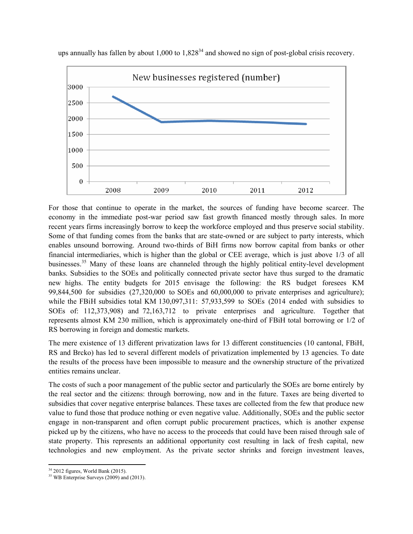

ups annually has fallen by about  $1,000$  to  $1,828^{34}$  and showed no sign of post-global crisis recovery.

For those that continue to operate in the market, the sources of funding have become scarcer. The economy in the immediate post-war period saw fast growth financed mostly through sales. In more recent years firms increasingly borrow to keep the workforce employed and thus preserve social stability. Some of that funding comes from the banks that are state-owned or are subject to party interests, which enables unsound borrowing. Around two-thirds of BiH firms now borrow capital from banks or other financial intermediaries, which is higher than the global or CEE average, which is just above 1/3 of all businesses.35 Many of these loans are channeled through the highly political entity-level development banks. Subsidies to the SOEs and politically connected private sector have thus surged to the dramatic new highs. The entity budgets for 2015 envisage the following: the RS budget foresees KM 99,844,500 for subsidies (27,320,000 to SOEs and 60,000,000 to private enterprises and agriculture); while the FBiH subsidies total KM 130,097,311: 57,933,599 to SOEs (2014 ended with subsidies to SOEs of: 112,373,908) and 72,163,712 to private enterprises and agriculture. Together that represents almost KM 230 million, which is approximately one-third of FBiH total borrowing or 1/2 of RS borrowing in foreign and domestic markets.

The mere existence of 13 different privatization laws for 13 different constituencies (10 cantonal, FBiH, RS and Brcko) has led to several different models of privatization implemented by 13 agencies. To date the results of the process have been impossible to measure and the ownership structure of the privatized entities remains unclear.

The costs of such a poor management of the public sector and particularly the SOEs are borne entirely by the real sector and the citizens: through borrowing, now and in the future. Taxes are being diverted to subsidies that cover negative enterprise balances. These taxes are collected from the few that produce new value to fund those that produce nothing or even negative value. Additionally, SOEs and the public sector engage in non-transparent and often corrupt public procurement practices, which is another expense picked up by the citizens, who have no access to the proceeds that could have been raised through sale of state property. This represents an additional opportunity cost resulting in lack of fresh capital, new technologies and new employment. As the private sector shrinks and foreign investment leaves,

  $34$  2012 figures, World Bank (2015).

<sup>&</sup>lt;sup>35</sup> WB Enterprise Surveys (2009) and (2013).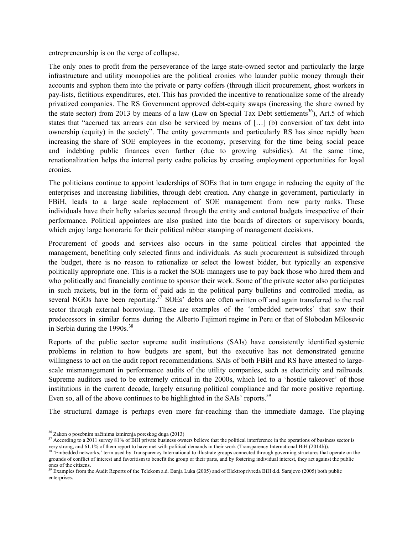entrepreneurship is on the verge of collapse.

The only ones to profit from the perseverance of the large state-owned sector and particularly the large infrastructure and utility monopolies are the political cronies who launder public money through their accounts and syphon them into the private or party coffers (through illicit procurement, ghost workers in pay-lists, fictitious expenditures, etc). This has provided the incentive to renationalize some of the already privatized companies. The RS Government approved debt-equity swaps (increasing the share owned by the state sector) from 2013 by means of a law (Law on Special Tax Debt settlements<sup>36</sup>), Art.5 of which states that "accrued tax arrears can also be serviced by means of […] (b) conversion of tax debt into ownership (equity) in the society". The entity governments and particularly RS has since rapidly been increasing the share of SOE employees in the economy, preserving for the time being social peace and indebting public finances even further (due to growing subsidies). At the same time, renationalization helps the internal party cadre policies by creating employment opportunities for loyal cronies.

The politicians continue to appoint leaderships of SOEs that in turn engage in reducing the equity of the enterprises and increasing liabilities, through debt creation. Any change in government, particularly in FBiH, leads to a large scale replacement of SOE management from new party ranks. These individuals have their hefty salaries secured through the entity and cantonal budgets irrespective of their performance. Political appointees are also pushed into the boards of directors or supervisory boards, which enjoy large honoraria for their political rubber stamping of management decisions.

Procurement of goods and services also occurs in the same political circles that appointed the management, benefiting only selected firms and individuals. As such procurement is subsidized through the budget, there is no reason to rationalize or select the lowest bidder, but typically an expensive politically appropriate one. This is a racket the SOE managers use to pay back those who hired them and who politically and financially continue to sponsor their work. Some of the private sector also participates in such rackets, but in the form of paid ads in the political party bulletins and controlled media, as several NGOs have been reporting.<sup>37</sup> SOEs' debts are often written off and again transferred to the real sector through external borrowing. These are examples of the 'embedded networks' that saw their predecessors in similar forms during the Alberto Fujimori regime in Peru or that of Slobodan Milosevic in Serbia during the  $1990s.<sup>38</sup>$ 

Reports of the public sector supreme audit institutions (SAIs) have consistently identified systemic problems in relation to how budgets are spent, but the executive has not demonstrated genuine willingness to act on the audit report recommendations. SAIs of both FBiH and RS have attested to largescale mismanagement in performance audits of the utility companies, such as electricity and railroads. Supreme auditors used to be extremely critical in the 2000s, which led to a 'hostile takeover' of those institutions in the current decade, largely ensuring political compliance and far more positive reporting. Even so, all of the above continues to be highlighted in the SAIs' reports.<sup>39</sup>

The structural damage is perhaps even more far-reaching than the immediate damage. The playing

<sup>&</sup>lt;sup>36</sup> Zakon o posebnim načinima izmirenja poreskog duga (2013)

<sup>&</sup>lt;sup>37</sup> According to a 2011 survey 81% of BiH private business owners believe that the political interference in the operations of business sector is very strong, and 61.1% of them report to have met with political demands i

<sup>&</sup>lt;sup>38</sup> 'Embedded networks,' term used by Transparency International to illustrate groups connected through governing structures that operate on the grounds of conflict of interest and favoritism to benefit the group or their parts, and by fostering individual interest, they act against the public ones of the citizens.

<sup>&</sup>lt;sup>39</sup> Examples from the Audit Reports of the Telekom a.d. Banja Luka (2005) and of Elektroprivreda BiH d.d. Sarajevo (2005) both public enterprises.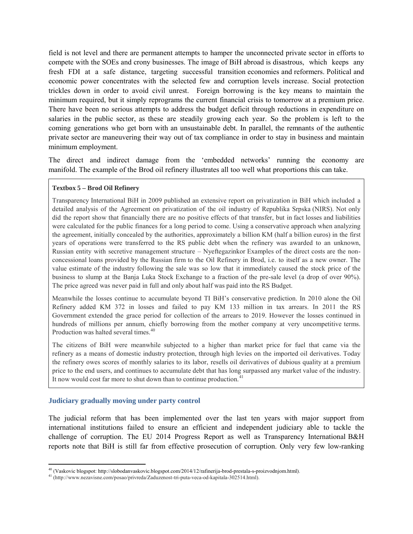field is not level and there are permanent attempts to hamper the unconnected private sector in efforts to compete with the SOEs and crony businesses. The image of BiH abroad is disastrous, which keeps any fresh FDI at a safe distance, targeting successful transition economies and reformers. Political and economic power concentrates with the selected few and corruption levels increase. Social protection trickles down in order to avoid civil unrest. Foreign borrowing is the key means to maintain the minimum required, but it simply reprograms the current financial crisis to tomorrow at a premium price. There have been no serious attempts to address the budget deficit through reductions in expenditure on salaries in the public sector, as these are steadily growing each year. So the problem is left to the coming generations who get born with an unsustainable debt. In parallel, the remnants of the authentic private sector are maneuvering their way out of tax compliance in order to stay in business and maintain minimum employment.

The direct and indirect damage from the 'embedded networks' running the economy are manifold. The example of the Brod oil refinery illustrates all too well what proportions this can take.

### **Textbox 5 – Brod Oil Refinery**

Transparency International BiH in 2009 published an extensive report on privatization in BiH which included a detailed analysis of the Agreement on privatization of the oil industry of Republika Srpska (NIRS). Not only did the report show that financially there are no positive effects of that transfer, but in fact losses and liabilities were calculated for the public finances for a long period to come. Using a conservative approach when analyzing the agreement, initially concealed by the authorities, approximately a billion KM (half a billion euros) in the first years of operations were transferred to the RS public debt when the refinery was awarded to an unknown, Russian entity with secretive management structure – Nyeftegazinkor Examples of the direct costs are the nonconcessional loans provided by the Russian firm to the Oil Refinery in Brod, i.e. to itself as a new owner. The value estimate of the industry following the sale was so low that it immediately caused the stock price of the business to slump at the Banja Luka Stock Exchange to a fraction of the pre-sale level (a drop of over 90%). The price agreed was never paid in full and only about half was paid into the RS Budget.

Meanwhile the losses continue to accumulate beyond TI BiH's conservative prediction. In 2010 alone the Oil Refinery added KM 372 in losses and failed to pay KM 133 million in tax arrears. In 2011 the RS Government extended the grace period for collection of the arrears to 2019. However the losses continued in hundreds of millions per annum, chiefly borrowing from the mother company at very uncompetitive terms. Production was halted several times.<sup>40</sup>

The citizens of BiH were meanwhile subjected to a higher than market price for fuel that came via the refinery as a means of domestic industry protection, through high levies on the imported oil derivatives. Today the refinery owes scores of monthly salaries to its labor, resells oil derivatives of dubious quality at a premium price to the end users, and continues to accumulate debt that has long surpassed any market value of the industry. It now would cost far more to shut down than to continue production.<sup>41</sup>

## **Judiciary gradually moving under party control**

The judicial reform that has been implemented over the last ten years with major support from international institutions failed to ensure an efficient and independent judiciary able to tackle the challenge of corruption. The EU 2014 Progress Report as well as Transparency International B&H reports note that BiH is still far from effective prosecution of corruption. Only very few low-ranking

<sup>40</sup> (Vaskovic blogspot: http://slobodanvaskovic.blogspot.com/2014/12/rafinerija-brod-prestala-s-proizvodnjom.html).

<sup>41</sup> (http://www.nezavisne.com/posao/privreda/Zaduzenost-tri-puta-veca-od-kapitala-302514.html).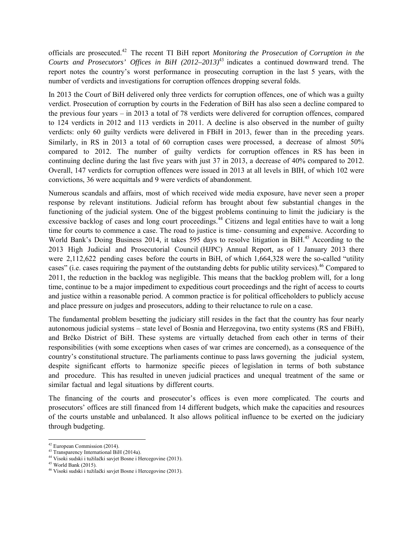officials are prosecuted.42 The recent TI BiH report *Monitoring the Prosecution of Corruption in the Courts and Prosecutors' Offices in BiH (2012–2013)*43 indicates a continued downward trend. The report notes the country's worst performance in prosecuting corruption in the last 5 years, with the number of verdicts and investigations for corruption offences dropping several folds.

In 2013 the Court of BiH delivered only three verdicts for corruption offences, one of which was a guilty verdict. Prosecution of corruption by courts in the Federation of BiH has also seen a decline compared to the previous four years – in 2013 a total of 78 verdicts were delivered for corruption offences, compared to 124 verdicts in 2012 and 113 verdicts in 2011. A decline is also observed in the number of guilty verdicts: only 60 guilty verdicts were delivered in FBiH in 2013, fewer than in the preceding years. Similarly, in RS in 2013 a total of 60 corruption cases were processed, a decrease of almost 50% compared to 2012. The number of guilty verdicts for corruption offences in RS has been in continuing decline during the last five years with just 37 in 2013, a decrease of 40% compared to 2012. Overall, 147 verdicts for corruption offences were issued in 2013 at all levels in BIH, of which 102 were convictions, 36 were acquittals and 9 were verdicts of abandonment.

Numerous scandals and affairs, most of which received wide media exposure, have never seen a proper response by relevant institutions. Judicial reform has brought about few substantial changes in the functioning of the judicial system. One of the biggest problems continuing to limit the judiciary is the excessive backlog of cases and long court proceedings.<sup>44</sup> Citizens and legal entities have to wait a long time for courts to commence a case. The road to justice is time- consuming and expensive. According to World Bank's Doing Business 2014, it takes 595 days to resolve litigation in BiH.<sup>45</sup> According to the 2013 High Judicial and Prosecutorial Council (HJPC) Annual Report, as of 1 January 2013 there were 2,112,622 pending cases before the courts in BiH, of which 1,664,328 were the so-called "utility cases" (i.e. cases requiring the payment of the outstanding debts for public utility services).<sup>46</sup> Compared to 2011, the reduction in the backlog was negligible. This means that the backlog problem will, for a long time, continue to be a major impediment to expeditious court proceedings and the right of access to courts and justice within a reasonable period. A common practice is for political officeholders to publicly accuse and place pressure on judges and prosecutors, adding to their reluctance to rule on a case.

The fundamental problem besetting the judiciary still resides in the fact that the country has four nearly autonomous judicial systems – state level of Bosnia and Herzegovina, two entity systems (RS and FBiH), and Brčko District of BiH. These systems are virtually detached from each other in terms of their responsibilities (with some exceptions when cases of war crimes are concerned), as a consequence of the country's constitutional structure. The parliaments continue to pass laws governing the judicial system, despite significant efforts to harmonize specific pieces of legislation in terms of both substance and procedure. This has resulted in uneven judicial practices and unequal treatment of the same or similar factual and legal situations by different courts.

The financing of the courts and prosecutor's offices is even more complicated. The courts and prosecutors' offices are still financed from 14 different budgets, which make the capacities and resources of the courts unstable and unbalanced. It also allows political influence to be exerted on the judiciary through budgeting.

 $42$  European Commission (2014).

<sup>&</sup>lt;sup>43</sup> Transparency International BiH (2014a).

<sup>44</sup> Visoki sudski i tužilački savjet Bosne i Hercegovine (2013).

 $45$  World Bank (2015).

<sup>46</sup> Visoki sudski i tužilački savjet Bosne i Hercegovine (2013).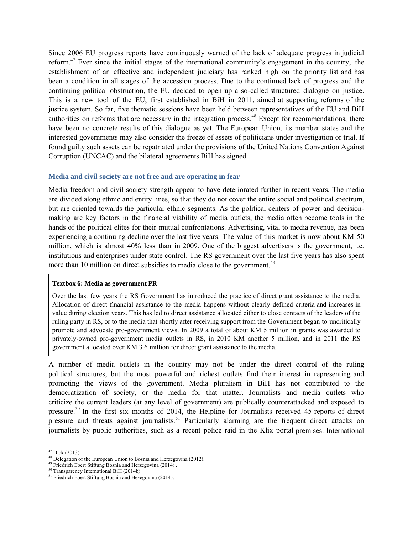Since 2006 EU progress reports have continuously warned of the lack of adequate progress in judicial reform.47 Ever since the initial stages of the international community's engagement in the country, the establishment of an effective and independent judiciary has ranked high on the priority list and has been a condition in all stages of the accession process. Due to the continued lack of progress and the continuing political obstruction, the EU decided to open up a so-called structured dialogue on justice. This is a new tool of the EU, first established in BiH in 2011, aimed at supporting reforms of the justice system. So far, five thematic sessions have been held between representatives of the EU and BiH authorities on reforms that are necessary in the integration process.<sup>48</sup> Except for recommendations, there have been no concrete results of this dialogue as yet. The European Union, its member states and the interested governments may also consider the freeze of assets of politicians under investigation or trial. If found guilty such assets can be repatriated under the provisions of the United Nations Convention Against Corruption (UNCAC) and the bilateral agreements BiH has signed.

#### **Media and civil society are not free and are operating in fear**

Media freedom and civil society strength appear to have deteriorated further in recent years. The media are divided along ethnic and entity lines, so that they do not cover the entire social and political spectrum, but are oriented towards the particular ethnic segments. As the political centers of power and decisionmaking are key factors in the financial viability of media outlets, the media often become tools in the hands of the political elites for their mutual confrontations. Advertising, vital to media revenue, has been experiencing a continuing decline over the last five years. The value of this market is now about KM 50 million, which is almost 40% less than in 2009. One of the biggest advertisers is the government, i.e. institutions and enterprises under state control. The RS government over the last five years has also spent more than 10 million on direct subsidies to media close to the government.<sup>49</sup>

#### **Textbox 6: Media as government PR**

Over the last few years the RS Government has introduced the practice of direct grant assistance to the media. Allocation of direct financial assistance to the media happens without clearly defined criteria and increases in value during election years. This has led to direct assistance allocated either to close contacts of the leaders of the ruling party in RS, or to the media that shortly after receiving support from the Government began to uncritically promote and advocate pro-government views. In 2009 a total of about KM 5 million in grants was awarded to privately-owned pro-government media outlets in RS, in 2010 KM another 5 million, and in 2011 the RS government allocated over KM 3.6 million for direct grant assistance to the media.

A number of media outlets in the country may not be under the direct control of the ruling political structures, but the most powerful and richest outlets find their interest in representing and promoting the views of the government. Media pluralism in BiH has not contributed to the democratization of society, or the media for that matter. Journalists and media outlets who criticize the current leaders (at any level of government) are publically counterattacked and exposed to pressure.<sup>50</sup> In the first six months of 2014, the Helpline for Journalists received 45 reports of direct pressure and threats against journalists.<sup>51</sup> Particularly alarming are the frequent direct attacks on journalists by public authorities, such as a recent police raid in the Klix portal premises. International

<sup>47</sup> Dick (2013).

<sup>&</sup>lt;sup>48</sup> Delegation of the European Union to Bosnia and Herzegovina (2012). <sup>49</sup> Friedrich Ebert Stiftung Bosnia and Herzegovina (2014) .

<sup>&</sup>lt;sup>50</sup> Transparency International BiH (2014b).

<sup>&</sup>lt;sup>51</sup> Friedrich Ebert Stiftung Bosnia and Hezegovina (2014).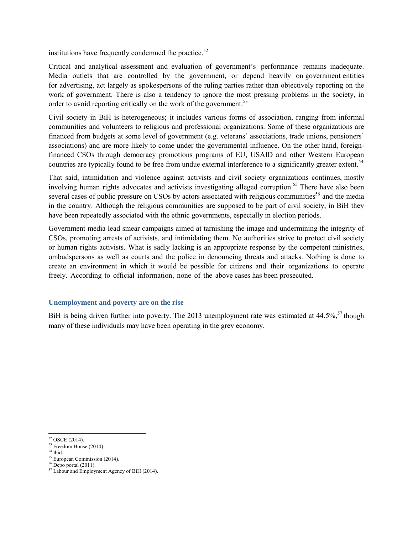institutions have frequently condemned the practice. $52$ 

Critical and analytical assessment and evaluation of government's performance remains inadequate. Media outlets that are controlled by the government, or depend heavily on government entities for advertising, act largely as spokespersons of the ruling parties rather than objectively reporting on the work of government. There is also a tendency to ignore the most pressing problems in the society, in order to avoid reporting critically on the work of the government.<sup>53</sup>

Civil society in BiH is heterogeneous; it includes various forms of association, ranging from informal communities and volunteers to religious and professional organizations. Some of these organizations are financed from budgets at some level of government (e.g. veterans' associations, trade unions, pensioners' associations) and are more likely to come under the governmental influence. On the other hand, foreignfinanced CSOs through democracy promotions programs of EU, USAID and other Western European countries are typically found to be free from undue external interference to a significantly greater extent.<sup>54</sup>

That said, intimidation and violence against activists and civil society organizations continues, mostly involving human rights advocates and activists investigating alleged corruption.<sup>55</sup> There have also been several cases of public pressure on CSOs by actors associated with religious communities<sup>56</sup> and the media in the country. Although the religious communities are supposed to be part of civil society, in BiH they have been repeatedly associated with the ethnic governments, especially in election periods.

Government media lead smear campaigns aimed at tarnishing the image and undermining the integrity of CSOs, promoting arrests of activists, and intimidating them. No authorities strive to protect civil society or human rights activists. What is sadly lacking is an appropriate response by the competent ministries, ombudspersons as well as courts and the police in denouncing threats and attacks. Nothing is done to create an environment in which it would be possible for citizens and their organizations to operate freely. According to official information, none of the above cases has been prosecuted.

## **Unemployment and poverty are on the rise**

BiH is being driven further into poverty. The 2013 unemployment rate was estimated at 44.5%,<sup>57</sup> though many of these individuals may have been operating in the grey economy.

<sup>55</sup> European Commission (2014).

<sup>52</sup> OSCE (2014).

 $53$  Freedom House (2014).

<sup>54</sup> Ibid.

 $56$  Depo portal (2011).

<sup>57</sup> Labour and Employment Agency of BiH (2014).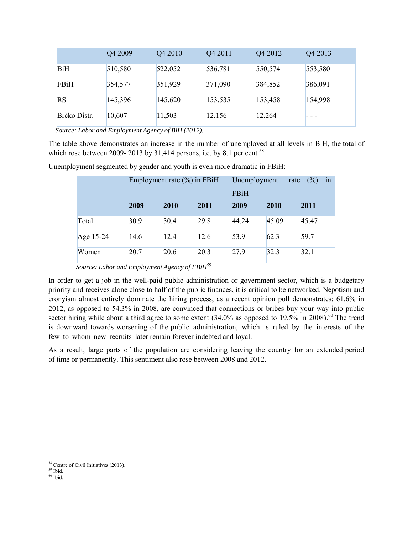|              | Q4 2009 | Q4 2010 | Q4 2011 | Q4 2012 | Q4 2013 |
|--------------|---------|---------|---------|---------|---------|
| <b>BiH</b>   | 510,580 | 522,052 | 536,781 | 550,574 | 553,580 |
| FBiH         | 354,577 | 351,929 | 371,090 | 384,852 | 386,091 |
| <b>RS</b>    | 145,396 | 145,620 | 153,535 | 153,458 | 154,998 |
| Brčko Distr. | 10,607  | 11,503  | 12,156  | 12,264  |         |

 *Source: Labor and Employment Agency of BiH (2012).*

The table above demonstrates an increase in the number of unemployed at all levels in BiH, the total of which rose between 2009- 2013 by 31,414 persons, i.e. by 8.1 per cent.<sup>58</sup>

Unemployment segmented by gender and youth is even more dramatic in FBiH:

|           | Employment rate $(\% )$ in FBiH |      |      | Unemployment | rate        | (%)   | in |
|-----------|---------------------------------|------|------|--------------|-------------|-------|----|
|           |                                 |      |      | <b>FBiH</b>  |             |       |    |
|           | 2009                            | 2010 | 2011 | 2009         | <b>2010</b> | 2011  |    |
| Total     | 30.9                            | 30.4 | 29.8 | 44.24        | 45.09       | 45.47 |    |
| Age 15-24 | 14.6                            | 12.4 | 12.6 | 53.9         | 62.3        | 59.7  |    |
| Women     | 20.7                            | 20.6 | 20.3 | 27.9         | 32.3        | 32.1  |    |

 *Source: Labor and Employment Agency of FBiH*<sup>59</sup>

In order to get a job in the well-paid public administration or government sector, which is a budgetary priority and receives alone close to half of the public finances, it is critical to be networked. Nepotism and cronyism almost entirely dominate the hiring process, as a recent opinion poll demonstrates: 61.6% in 2012, as opposed to 54.3% in 2008, are convinced that connections or bribes buy your way into public sector hiring while about a third agree to some extent  $(34.0\%$  as opposed to 19.5% in 2008).<sup>60</sup> The trend is downward towards worsening of the public administration, which is ruled by the interests of the few to whom new recruits later remain forever indebted and loyal.

As a result, large parts of the population are considering leaving the country for an extended period of time or permanently. This sentiment also rose between 2008 and 2012.

<sup>&</sup>lt;sup>58</sup> Centre of Civil Initiatives (2013).

<sup>59</sup> Ibid.

 $60$  Ibid.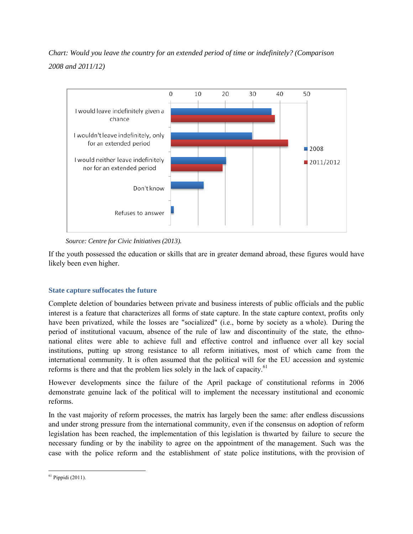# *Chart: Would you leave the country for an extended period of time or indefinitely? (Comparison 2008 and 2011/12)*



 *Source: Centre for Civic Initiatives (2013).*

If the youth possessed the education or skills that are in greater demand abroad, these figures would have likely been even higher.

## **State capture suffocates the future**

Complete deletion of boundaries between private and business interests of public officials and the public interest is a feature that characterizes all forms of state capture. In the state capture context, profits only have been privatized, while the losses are "socialized" (i.e., borne by society as a whole). During the period of institutional vacuum, absence of the rule of law and discontinuity of the state, the ethnonational elites were able to achieve full and effective control and influence over all key social institutions, putting up strong resistance to all reform initiatives, most of which came from the international community. It is often assumed that the political will for the EU accession and systemic reforms is there and that the problem lies solely in the lack of capacity.<sup>61</sup>

However developments since the failure of the April package of constitutional reforms in 2006 demonstrate genuine lack of the political will to implement the necessary institutional and economic reforms.

In the vast majority of reform processes, the matrix has largely been the same: after endless discussions and under strong pressure from the international community, even if the consensus on adoption of reform legislation has been reached, the implementation of this legislation is thwarted by failure to secure the necessary funding or by the inability to agree on the appointment of the management. Such was the case with the police reform and the establishment of state police institutions, with the provision of

  $61$  Pippidi (2011).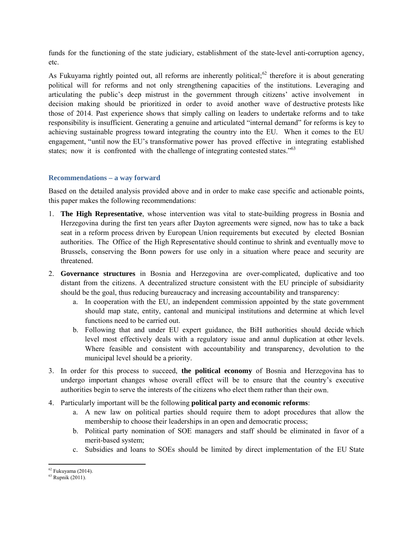funds for the functioning of the state judiciary, establishment of the state-level anti-corruption agency, etc.

As Fukuyama rightly pointed out, all reforms are inherently political; $62$  therefore it is about generating political will for reforms and not only strengthening capacities of the institutions. Leveraging and articulating the public's deep mistrust in the government through citizens' active involvement in decision making should be prioritized in order to avoid another wave of destructive protests like those of 2014. Past experience shows that simply calling on leaders to undertake reforms and to take responsibility is insufficient. Generating a genuine and articulated "internal demand" for reforms is key to achieving sustainable progress toward integrating the country into the EU. When it comes to the EU engagement, "until now the EU's transformative power has proved effective in integrating established states; now it is confronted with the challenge of integrating contested states."<sup>63</sup>

## **Recommendations – a way forward**

Based on the detailed analysis provided above and in order to make case specific and actionable points, this paper makes the following recommendations:

- 1. **The High Representative**, whose intervention was vital to state-building progress in Bosnia and Herzegovina during the first ten years after Dayton agreements were signed, now has to take a back seat in a reform process driven by European Union requirements but executed by elected Bosnian authorities. The Office of the High Representative should continue to shrink and eventually move to Brussels, conserving the Bonn powers for use only in a situation where peace and security are threatened.
- 2. **Governance structures** in Bosnia and Herzegovina are over-complicated, duplicative and too distant from the citizens. A decentralized structure consistent with the EU principle of subsidiarity should be the goal, thus reducing bureaucracy and increasing accountability and transparency:
	- a. In cooperation with the EU, an independent commission appointed by the state government should map state, entity, cantonal and municipal institutions and determine at which level functions need to be carried out.
	- b. Following that and under EU expert guidance, the BiH authorities should decide which level most effectively deals with a regulatory issue and annul duplication at other levels. Where feasible and consistent with accountability and transparency, devolution to the municipal level should be a priority.
- 3. In order for this process to succeed, **the political economy** of Bosnia and Herzegovina has to undergo important changes whose overall effect will be to ensure that the country's executive authorities begin to serve the interests of the citizens who elect them rather than their own.
- 4. Particularly important will be the following **political party and economic reforms**:
	- a. A new law on political parties should require them to adopt procedures that allow the membership to choose their leaderships in an open and democratic process;
	- b. Political party nomination of SOE managers and staff should be eliminated in favor of a merit-based system;
	- c. Subsidies and loans to SOEs should be limited by direct implementation of the EU State

 $62$  Fukuyama (2014).

<sup>63</sup> Rupnik (2011).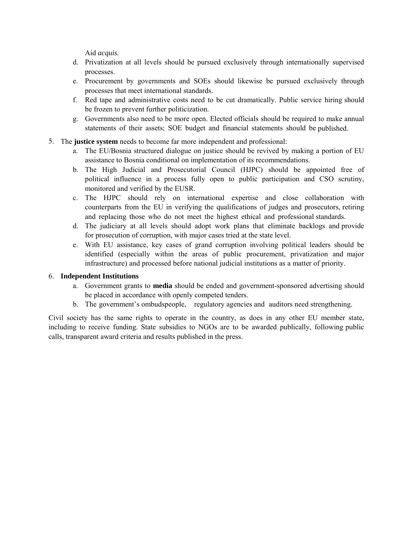Aid *acquis.*

- d. Privatization at all levels should be pursued exclusively through internationally supervised processes.
- e. Procurement by governments and SOEs should likewise be pursued exclusively through processes that meet international standards.
- f. Red tape and administrative costs need to be cut dramatically. Public service hiring should be frozen to prevent further politicization.
- g. Governments also need to be more open. Elected officials should be required to make annual statements of their assets; SOE budget and financial statements should be published.
- 5. The **justice system** needs to become far more independent and professional:
	- a. The EU/Bosnia structured dialogue on justice should be revived by making a portion of EU assistance to Bosnia conditional on implementation of its recommendations.
	- b. The High Judicial and Prosecutorial Council (HJPC) should be appointed free of political influence in a process fully open to public participation and CSO scrutiny, monitored and verified by the EUSR.
	- c. The HJPC should rely on international expertise and close collaboration with counterparts from the EU in verifying the qualifications of judges and prosecutors, retiring and replacing those who do not meet the highest ethical and professional standards.
	- d. The judiciary at all levels should adopt work plans that eliminate backlogs and provide for prosecution of corruption, with major cases tried at the state level.
	- e. With EU assistance, key cases of grand corruption involving political leaders should be identified (especially within the areas of public procurement, privatization and major infrastructure) and processed before national judicial institutions as a matter of priority.

## 6. **Independent Institutions**

- a. Government grants to **media** should be ended and government-sponsored advertising should be placed in accordance with openly competed tenders.
- b. The government's ombudspeople, regulatory agencies and auditors need strengthening.

Civil society has the same rights to operate in the country, as does in any other EU member state, including to receive funding. State subsidies to NGOs are to be awarded publically, following public calls, transparent award criteria and results published in the press.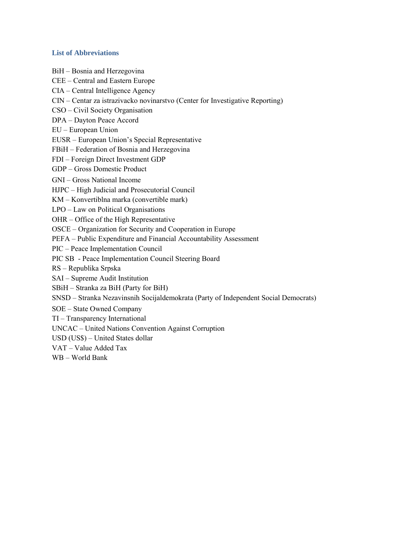### **List of Abbreviations**

- BiH Bosnia and Herzegovina
- CEE Central and Eastern Europe
- CIA Central Intelligence Agency
- CIN Centar za istrazivacko novinarstvo (Center for Investigative Reporting)
- CSO Civil Society Organisation
- DPA Dayton Peace Accord
- EU European Union
- EUSR European Union's Special Representative
- FBiH Federation of Bosnia and Herzegovina
- FDI Foreign Direct Investment GDP
- GDP Gross Domestic Product
- GNI Gross National Income
- HJPC High Judicial and Prosecutorial Council
- KM Konvertiblna marka (convertible mark)
- LPO Law on Political Organisations
- OHR Office of the High Representative
- OSCE Organization for Security and Cooperation in Europe
- PEFA Public Expenditure and Financial Accountability Assessment
- PIC Peace Implementation Council
- PIC SB Peace Implementation Council Steering Board
- RS Republika Srpska
- SAI Supreme Audit Institution
- SBiH Stranka za BiH (Party for BiH)
- SNSD Stranka Nezavinsnih Socijaldemokrata (Party of Independent Social Democrats)
- SOE State Owned Company
- TI Transparency International
- UNCAC United Nations Convention Against Corruption
- USD (US\$) United States dollar
- VAT Value Added Tax
- WB World Bank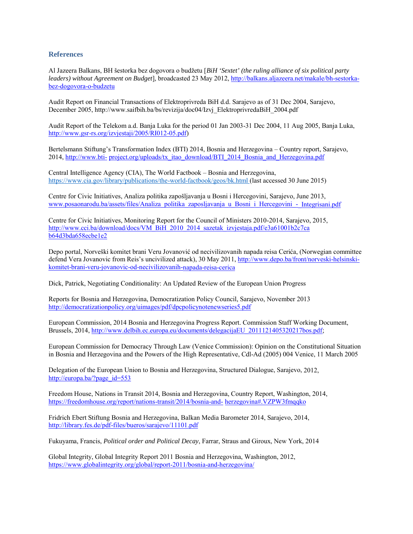#### **References**

Al Jazeera Balkans, BH šestorka bez dogovora o budžetu [*BiH 'Sextet' (the ruling alliance of six political party leaders) without Agreement on Budget*], broadcasted 23 May 2012, http://balkans.aljazeera.net/makale/bh-sestorkabez-dogovora-o-budzetu

Audit Report on Financial Transactions of Elektroprivreda BiH d.d. Sarajevo as of 31 Dec 2004, Sarajevo, December 2005, http://www.saifbih.ba/bs/revizija/doc04/Izvj\_ElektroprivredaBiH\_2004.pdf

Audit Report of the Telekom a.d. Banja Luka for the period 01 Jan 2003-31 Dec 2004, 11 Aug 2005, Banja Luka, http://www.gsr-rs.org/izvjestaji/2005/RI012-05.pdf)

Bertelsmann Stiftung's Transformation Index (BTI) 2014, Bosnia and Herzegovina – Country report, Sarajevo, 2014, http://www.bti- project.org/uploads/tx\_itao\_download/BTI\_2014\_Bosnia\_and\_Herzegovina.pdf

Central Intelligence Agency (CIA), The World Factbook – Bosnia and Herzegovina, https://www.cia.gov/library/publications/the-world-factbook/geos/bk.html (last accessed 30 June 2015)

Centre for Civic Initiatives, Analiza politika zapošljavanja u Bosni i Hercegovini, Sarajevo, June 2013, www.posaonarodu.ba/assets/files/Analiza\_politika\_zaposljavanja\_u\_Bosni\_i\_Hercegovini\_-\_Integrisani.pdf

Centre for Civic Initiatives, Monitoring Report for the Council of Ministers 2010-2014, Sarajevo, 2015, http://www.cci.ba/download/docs/VM\_BiH\_2010\_2014\_sazetak\_izvjestaja.pdf/e3a61001b2c7ca b64d3bda658ecbe1e2

Depo portal, Norveški komitet brani Veru Jovanović od necivilizovanih napada reisa Cerića, (Norwegian committee defend Vera Jovanovic from Reis's uncivilized attack), 30 May 2011, http://www.depo.ba/front/norveski-helsinskikomitet-brani-veru-jovanovic-od-necivilizovanih-napada-reisa-cerica

Dick, Patrick, Negotiating Conditionality: An Updated Review of the European Union Progress

Reports for Bosnia and Herzegovina, Democratization Policy Council, Sarajevo, November 2013 http://democratizationpolicy.org/uimages/pdf/dpcpolicynotenewseries5.pdf

European Commission, 2014 Bosnia and Herzegovina Progress Report. Commission Staff Working Document, Brussels, 2014, http://www.delbih.ec.europa.eu/documents/delegacijaEU\_2011121405320217bos.pdf;

European Commission for Democracy Through Law (Venice Commission): Opinion on the Constitutional Situation in Bosnia and Herzegovina and the Powers of the High Representative, Cdl-Ad (2005) 004 Venice, 11 March 2005

Delegation of the European Union to Bosnia and Herzegovina, Structured Dialogue, Sarajevo, 2012, http://europa.ba/?page\_id=553

Freedom House, Nations in Transit 2014, Bosnia and Herzegovina, Country Report, Washington, 2014, https://freedomhouse.org/report/nations-transit/2014/bosnia-and- herzegovina#.VZPW3fmqqko

Fridrich Ebert Stiftung Bosnia and Herzegovina, Balkan Media Barometer 2014, Sarajevo, 2014, http://library.fes.de/pdf-files/bueros/sarajevo/11101.pdf

Fukuyama, Francis, *Political order and Political Decay*, Farrar, Straus and Giroux, New York, 2014

Global Integrity, Global Integrity Report 2011 Bosnia and Herzegovina, Washington, 2012, https://www.globalintegrity.org/global/report-2011/bosnia-and-herzegovina/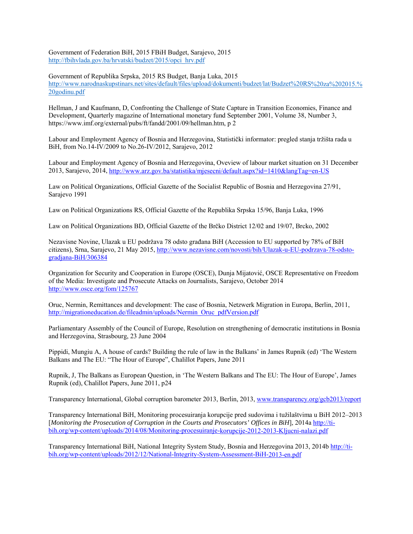Government of Federation BiH, 2015 FBiH Budget, Sarajevo, 2015 http://fbihvlada.gov.ba/hrvatski/budzet/2015/opci\_hrv.pdf

Government of Republika Srpska, 2015 RS Budget, Banja Luka, 2015 http://www.narodnaskupstinars.net/sites/default/files/upload/dokumenti/budzet/lat/Budzet%20RS%20za%202015.% 20godinu.pdf

Hellman, J and Kaufmann, D, Confronting the Challenge of State Capture in Transition Economies, Finance and Development, Quarterly magazine of International monetary fund September 2001, Volume 38, Number 3, https://www.imf.org/external/pubs/ft/fandd/2001/09/hellman.htm, p 2

Labour and Employment Agency of Bosnia and Herzegovina, Statistički informator: pregled stanja tržišta rada u BiH, from No.14-IV/2009 to No.26-IV/2012, Sarajevo, 2012

Labour and Employment Agency of Bosnia and Herzegovina, Oveview of labour market situation on 31 December 2013, Sarajevo, 2014, http://www.arz.gov.ba/statistika/mjesecni/default.aspx?id=1410&langTag=en-US

Law on Political Organizations, Official Gazette of the Socialist Republic of Bosnia and Herzegovina 27/91, Sarajevo 1991

Law on Political Organizations RS, Official Gazette of the Republika Srpska 15/96, Banja Luka, 1996

Law on Political Organizations BD, Official Gazette of the Brčko District 12/02 and 19/07, Brcko, 2002

Nezavisne Novine, Ulazak u EU podržava 78 odsto građana BiH (Accession to EU supported by 78% of BiH citizens), Srna, Sarajevo, 21 May 2015, http://www.nezavisne.com/novosti/bih/Ulazak-u-EU-podrzava-78-odstogradjana-BiH/306384

Organization for Security and Cooperation in Europe (OSCE), Dunja Mijatović, OSCE Representative on Freedom of the Media: Investigate and Prosecute Attacks on Journalists, Sarajevo, October 2014 http://www.osce.org/fom/125767

Oruc, Nermin, Remittances and development: The case of Bosnia, Netzwerk Migration in Europa, Berlin, 2011, http://migrationeducation.de/fileadmin/uploads/Nermin\_Oruc\_pdfVersion.pdf

Parliamentary Assembly of the Council of Europe, Resolution on strengthening of democratic institutions in Bosnia and Herzegovina, Strasbourg, 23 June 2004

Pippidi, Mungiu A, A house of cards? Building the rule of law in the Balkans' in James Rupnik (ed) 'The Western Balkans and The EU: "The Hour of Europe", Chalillot Papers, June 2011

Rupnik, J, The Balkans as European Question, in 'The Western Balkans and The EU: The Hour of Europe', James Rupnik (ed), Chalillot Papers, June 2011, p24

Transparency International, Global corruption barometer 2013, Berlin, 2013, www.transparency.org/gcb2013/report

Transparency International BiH, Monitoring procesuiranja korupcije pred sudovima i tužilaštvima u BiH 2012–2013 [*Monitoring the Prosecution of Corruption in the Courts and Prosecutors' Offices in BiH*], 2014a http://tibih.org/wp-content/uploads/2014/08/Monitoring-procesuiranje-korupcije-2012-2013-Kljucni-nalazi.pdf

Transparency International BiH, National Integrity System Study, Bosnia and Herzegovina 2013, 2014b http://tibih.org/wp-content/uploads/2012/12/National-Integrity-System-Assessment-BiH-2013-en.pdf